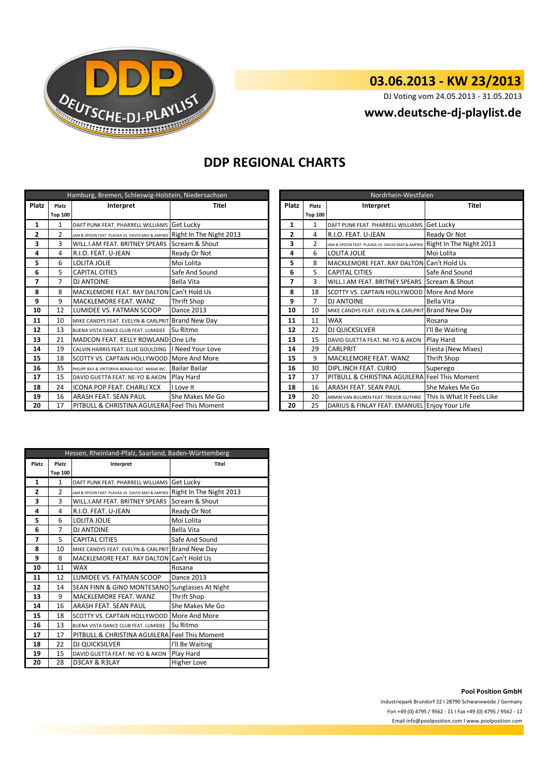

# **03.06.2013 - KW 23/2013**

DJ Voting vom 24.05.2013 - 31.05.2013

## **www.deutsche-dj-playlist.de**

## **DDP REGIONAL CHARTS**

| Hamburg, Bremen, Schleswig-Holstein, Niedersachsen |                |                                                                         |                      |       | Nordrhein-Westfalen |                |                                                   |                            |
|----------------------------------------------------|----------------|-------------------------------------------------------------------------|----------------------|-------|---------------------|----------------|---------------------------------------------------|----------------------------|
| Platz                                              | Platz          | Interpret                                                               | Titel                | Platz |                     | Platz          | Interpret                                         | <b>Titel</b>               |
|                                                    | <b>Top 100</b> |                                                                         |                      |       |                     | <b>Top 100</b> |                                                   |                            |
| 1                                                  | 1              | DAFT PUNK FEAT. PHARRELL WILLIAMS Get Lucky                             |                      |       | 1                   | 1              | DAFT PUNK FEAT. PHARRELL WILLIAMS Get Lucky       |                            |
| $\overline{2}$                                     | $\overline{2}$ | JAM & SPOON FEAT. PLAVKA VS. DAVID MAY & AMFREE Right In The Night 2013 |                      |       | $\overline{2}$      | 4              | R.I.O. FEAT. U-JEAN                               | Ready Or Not               |
| 3                                                  | 3              | WILL.I.AM FEAT. BRITNEY SPEARS Scream & Shout                           |                      |       | 3                   | $\overline{2}$ | JAM & SPOON FEAT. PLAVKA VS. DAVID MAY & AMFREE   | Right In The Night 2013    |
| 4                                                  | 4              | R.I.O. FEAT. U-JEAN                                                     | Ready Or Not         |       | 4                   | 6              | LOLITA JOLIE                                      | Moi Lolita                 |
| 5                                                  | 6              | <b>LOLITA JOLIE</b>                                                     | 5<br>Moi Lolita      |       |                     | 8              | MACKLEMORE FEAT. RAY DALTON                       | Can't Hold Us              |
| 6                                                  | 5              | <b>CAPITAL CITIES</b>                                                   | Safe And Sound       |       | 6                   | 5              | <b>CAPITAL CITIES</b>                             | Safe And Sound             |
| $\overline{\phantom{a}}$                           | 7              | <b>DJ ANTOINE</b>                                                       | Bella Vita           |       | 7                   | 3              | WILL.I.AM FEAT. BRITNEY SPEARS                    | Scream & Shout             |
| 8                                                  | 8              | MACKLEMORE FEAT. RAY DALTON Can't Hold Us                               |                      |       | 8                   | 18             | SCOTTY VS. CAPTAIN HOLLYWOOD                      | More And More              |
| 9                                                  | 9              | MACKLEMORE FEAT. WANZ                                                   | <b>Thrift Shop</b>   |       | 9                   | 7              | <b>DJ ANTOINE</b>                                 | <b>Bella Vita</b>          |
| 10                                                 | 12             | LUMIDEE VS. FATMAN SCOOP                                                | <b>Dance 2013</b>    |       | 10                  | 10             | MIKE CANDYS FEAT. EVELYN & CARLPRIT Brand New Day |                            |
| 11                                                 | 10             | MIKE CANDYS FEAT. EVELYN & CARLPRIT Brand New Day                       |                      |       | 11                  | 11             | <b>WAX</b>                                        | Rosana                     |
| 12                                                 | 13             | BUENA VISTA DANCE CLUB FEAT. LUMIDEE                                    | Su Ritmo             |       | 12                  | 22             | <b>DJ QUICKSILVER</b>                             | I'll Be Waiting            |
| 13                                                 | 21             | MADCON FEAT. KELLY ROWLAND One Life                                     |                      |       | 13                  | 15             | DAVID GUETTA FEAT. NE-YO & AKON                   | Play Hard                  |
| 14                                                 | 19             | CALVIN HARRIS FEAT. ELLIE GOULDING                                      | I Need Your Love     |       | 14                  | 29             | <b>CARLPRIT</b>                                   | Fiesta (New Mixes)         |
| 15                                                 | 18             | SCOTTY VS. CAPTAIN HOLLYWOOD More And More                              |                      |       | 15                  | 9              | MACKLEMORE FEAT. WANZ                             | Thrift Shop                |
| 16                                                 | 35             | PHILIPP RAY & VIKTORIYA BENASI FEAT. MIAMI INC.                         | <b>Bailar Bailar</b> |       | 16                  | 30             | DIPL.INCH FEAT. CURIO                             | Superego                   |
| 17                                                 | 15             | DAVID GUETTA FEAT. NE-YO & AKON                                         | Play Hard            |       | 17                  | 17             | PITBULL & CHRISTINA AGUILERA                      | <b>Feel This Moment</b>    |
| 18                                                 | 24             | <b>ICONA POP FEAT, CHARLI XCX</b>                                       | I Love It            |       | 18                  | 16             | <b>ARASH FEAT, SEAN PAUL</b>                      | She Makes Me Go            |
| 19                                                 | 16             | ARASH FEAT. SEAN PAUL                                                   | She Makes Me Go      |       |                     | 20             | ARMIN VAN BUUREN FEAT. TREVOR GUTHRIE             | This Is What It Feels Like |
| 20                                                 | 17             | PITBULL & CHRISTINA AGUILERA Feel This Moment                           |                      |       | 20                  | 25             | DARIUS & FINLAY FEAT. EMANUEL Enjoy Your Life     |                            |

| Nordrhein-Westfalen |                |                                                 |                            |  |  |  |
|---------------------|----------------|-------------------------------------------------|----------------------------|--|--|--|
| Platz<br>Platz      |                | Interpret                                       | <b>Titel</b>               |  |  |  |
|                     | <b>Top 100</b> |                                                 |                            |  |  |  |
| $\mathbf{1}$        | 1              | DAFT PUNK FEAT. PHARRELL WILLIAMS               | Get Lucky                  |  |  |  |
| $\overline{2}$      | 4              | R.I.O. FEAT. U-JEAN                             | Ready Or Not               |  |  |  |
| 3                   | $\overline{2}$ | JAM & SPOON FEAT, PLAVKA VS, DAVID MAY & AMFREE | Right In The Night 2013    |  |  |  |
| 4                   | 6              | LOLITA JOLIE                                    | Moi Lolita                 |  |  |  |
| 5                   | 8              | MACKLEMORE FEAT. RAY DALTON Can't Hold Us       |                            |  |  |  |
| 6                   | 5              | <b>CAPITAL CITIES</b>                           | Safe And Sound             |  |  |  |
| 7                   | 3              | WILL.I.AM FEAT. BRITNEY SPEARS                  | Scream & Shout             |  |  |  |
| 8                   | 18             | SCOTTY VS. CAPTAIN HOLLYWOOD More And More      |                            |  |  |  |
| 9                   | 7              | <b>DJ ANTOINE</b>                               | <b>Bella Vita</b>          |  |  |  |
| 10                  | 10             | MIKE CANDYS FEAT. EVELYN & CARLPRIT             | <b>Brand New Day</b>       |  |  |  |
| 11                  | 11             | <b>WAX</b>                                      | Rosana                     |  |  |  |
| 12                  | 22             | DJ QUICKSILVER                                  | I'll Be Waiting            |  |  |  |
| 13                  | 15             | DAVID GUETTA FEAT. NE-YO & AKON                 | Play Hard                  |  |  |  |
| 14                  | 29             | CARLPRIT                                        | Fiesta (New Mixes)         |  |  |  |
| 15                  | 9              | MACKLEMORE FEAT, WANZ                           | Thrift Shop                |  |  |  |
| 16                  | 30             | DIPL.INCH FEAT. CURIO                           | Superego                   |  |  |  |
| 17                  | 17             | PITBULL & CHRISTINA AGUILERA Feel This Moment   |                            |  |  |  |
| 18                  | 16             | ARASH FEAT. SEAN PAUL                           | She Makes Me Go            |  |  |  |
| 19                  | 20             | ARMIN VAN BUUREN FEAT. TREVOR GUTHRIE           | This Is What It Feels Like |  |  |  |
| 20                  | 25             | DARIUS & FINLAY FEAT. EMANUEL                   | Enjoy Your Life            |  |  |  |

| Hessen, Rheinland-Pfalz, Saarland, Baden-Württemberg |                |                                                 |                         |  |  |
|------------------------------------------------------|----------------|-------------------------------------------------|-------------------------|--|--|
| Platz<br>Platz                                       |                | Interpret                                       | Titel                   |  |  |
|                                                      | <b>Top 100</b> |                                                 |                         |  |  |
| 1                                                    | 1              | DAFT PUNK FEAT. PHARRELL WILLIAMS               | Get Lucky               |  |  |
| $\overline{2}$                                       | $\mathfrak{p}$ | JAM & SPOON FEAT. PLAVKA VS. DAVID MAY & AMFREE | Right In The Night 2013 |  |  |
| 3                                                    | 3              | WILL.I.AM FEAT. BRITNEY SPEARS                  | Scream & Shout          |  |  |
| 4                                                    | 4              | R.I.O. FEAT. U-JEAN                             | Ready Or Not            |  |  |
| 5                                                    | 6              | <b>LOLITA JOLIE</b>                             | Moi Lolita              |  |  |
| 6                                                    | $\overline{7}$ | <b>DJ ANTOINE</b>                               | <b>Bella Vita</b>       |  |  |
| 7                                                    | 5              | <b>CAPITAL CITIES</b>                           | Safe And Sound          |  |  |
| 8                                                    | 10             | MIKE CANDYS FEAT. EVELYN & CARLPRIT             | <b>Brand New Day</b>    |  |  |
| 9                                                    | 8              | <b>MACKLEMORE FEAT. RAY DALTON</b>              | Can't Hold Us           |  |  |
| 10                                                   | 11             | <b>WAX</b>                                      | Rosana                  |  |  |
| 11                                                   | 12             | LUMIDEE VS. FATMAN SCOOP                        | <b>Dance 2013</b>       |  |  |
| 12                                                   | 14             | SEAN FINN & GINO MONTESANO                      | Sunglasses At Night     |  |  |
| 13                                                   | 9              | MACKLEMORE FEAT, WANZ                           | <b>Thrift Shop</b>      |  |  |
| 14                                                   | 16             | ARASH FEAT. SEAN PAUL                           | She Makes Me Go         |  |  |
| 15                                                   | 18             | SCOTTY VS. CAPTAIN HOLLYWOOD                    | More And More           |  |  |
| 16                                                   | 13             | BUENA VISTA DANCE CLUB FEAT. LUMIDEE            | Su Ritmo                |  |  |
| 17                                                   | 17             | PITBULL & CHRISTINA AGUILERA                    | <b>Feel This Moment</b> |  |  |
| 18                                                   | 22             | DJ QUICKSILVER                                  | I'll Be Waiting         |  |  |
| 19                                                   | 15             | DAVID GUETTA FEAT. NE-YO & AKON                 | Play Hard               |  |  |
| 20                                                   | 28             | D3CAY & R3LAY                                   | Higher Love             |  |  |

### **Pool Position GmbH**

Industriepark Brundorf 22 I 28790 Schwanewede / Germany Fon +49 (0) 4795 / 9562 - 11 I Fax +49 (0) 4795 / 9562 - 12 Email info@poolposition.com I www.poolposition.com